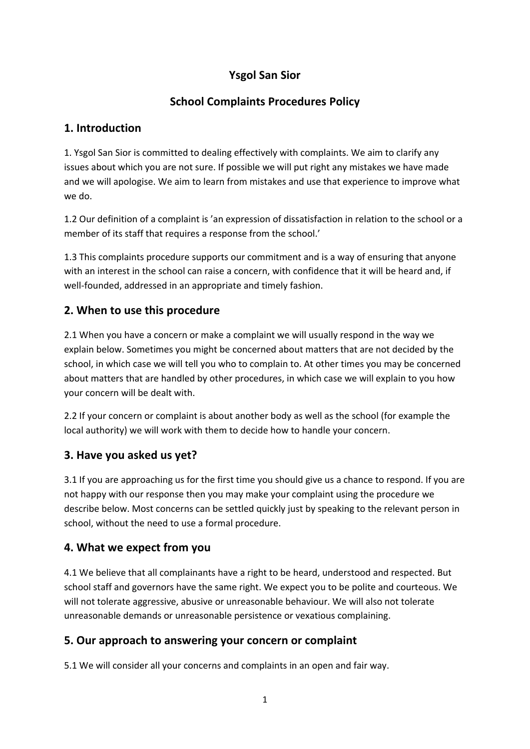## **Ysgol San Sior**

## **School Complaints Procedures Policy**

## **1. Introduction**

1. Ysgol San Sior is committed to dealing effectively with complaints. We aim to clarify any issues about which you are not sure. If possible we will put right any mistakes we have made and we will apologise. We aim to learn from mistakes and use that experience to improve what we do.

1.2 Our definition of a complaint is 'an expression of dissatisfaction in relation to the school or a member of its staff that requires a response from the school.'

1.3 This complaints procedure supports our commitment and is a way of ensuring that anyone with an interest in the school can raise a concern, with confidence that it will be heard and, if well-founded, addressed in an appropriate and timely fashion.

## **2. When to use this procedure**

2.1 When you have a concern or make a complaint we will usually respond in the way we explain below. Sometimes you might be concerned about matters that are not decided by the school, in which case we will tell you who to complain to. At other times you may be concerned about matters that are handled by other procedures, in which case we will explain to you how your concern will be dealt with.

2.2 If your concern or complaint is about another body as well as the school (for example the local authority) we will work with them to decide how to handle your concern.

## **3. Have you asked us yet?**

3.1 If you are approaching us for the first time you should give us a chance to respond. If you are not happy with our response then you may make your complaint using the procedure we describe below. Most concerns can be settled quickly just by speaking to the relevant person in school, without the need to use a formal procedure.

## **4. What we expect from you**

4.1 We believe that all complainants have a right to be heard, understood and respected. But school staff and governors have the same right. We expect you to be polite and courteous. We will not tolerate aggressive, abusive or unreasonable behaviour. We will also not tolerate unreasonable demands or unreasonable persistence or vexatious complaining.

## **5. Our approach to answering your concern or complaint**

5.1 We will consider all your concerns and complaints in an open and fair way.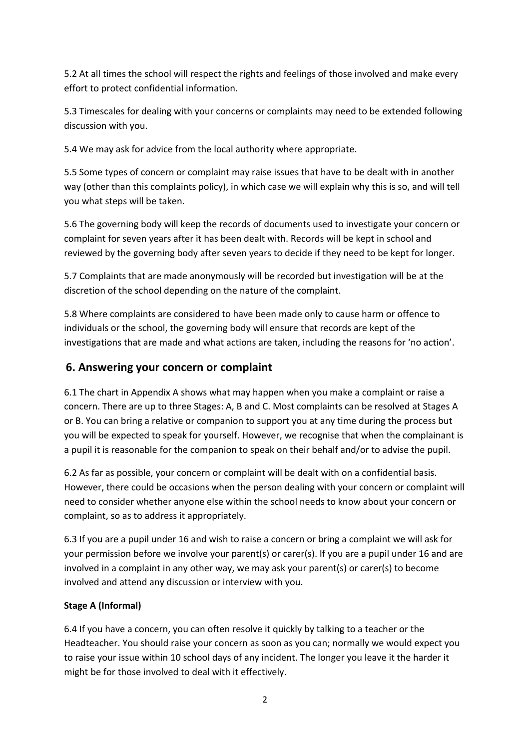5.2 At all times the school will respect the rights and feelings of those involved and make every effort to protect confidential information.

5.3 Timescales for dealing with your concerns or complaints may need to be extended following discussion with you.

5.4 We may ask for advice from the local authority where appropriate.

5.5 Some types of concern or complaint may raise issues that have to be dealt with in another way (other than this complaints policy), in which case we will explain why this is so, and will tell you what steps will be taken.

5.6 The governing body will keep the records of documents used to investigate your concern or complaint for seven years after it has been dealt with. Records will be kept in school and reviewed by the governing body after seven years to decide if they need to be kept for longer.

5.7 Complaints that are made anonymously will be recorded but investigation will be at the discretion of the school depending on the nature of the complaint.

5.8 Where complaints are considered to have been made only to cause harm or offence to individuals or the school, the governing body will ensure that records are kept of the investigations that are made and what actions are taken, including the reasons for 'no action'.

#### **6. Answering your concern or complaint**

6.1 The chart in Appendix A shows what may happen when you make a complaint or raise a concern. There are up to three Stages: A, B and C. Most complaints can be resolved at Stages A or B. You can bring a relative or companion to support you at any time during the process but you will be expected to speak for yourself. However, we recognise that when the complainant is a pupil it is reasonable for the companion to speak on their behalf and/or to advise the pupil.

6.2 As far as possible, your concern or complaint will be dealt with on a confidential basis. However, there could be occasions when the person dealing with your concern or complaint will need to consider whether anyone else within the school needs to know about your concern or complaint, so as to address it appropriately.

6.3 If you are a pupil under 16 and wish to raise a concern or bring a complaint we will ask for your permission before we involve your parent(s) or carer(s). If you are a pupil under 16 and are involved in a complaint in any other way, we may ask your parent(s) or carer(s) to become involved and attend any discussion or interview with you.

#### **Stage A (Informal)**

6.4 If you have a concern, you can often resolve it quickly by talking to a teacher or the Headteacher. You should raise your concern as soon as you can; normally we would expect you to raise your issue within 10 school days of any incident. The longer you leave it the harder it might be for those involved to deal with it effectively.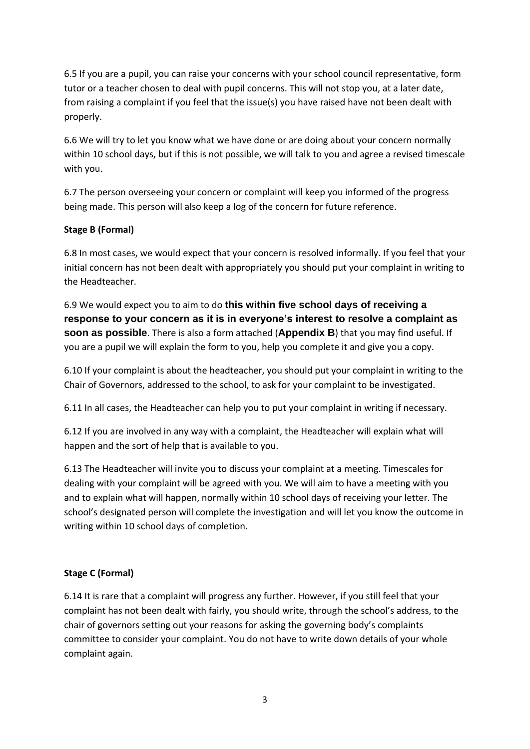6.5 If you are a pupil, you can raise your concerns with your school council representative, form tutor or a teacher chosen to deal with pupil concerns. This will not stop you, at a later date, from raising a complaint if you feel that the issue(s) you have raised have not been dealt with properly.

6.6 We will try to let you know what we have done or are doing about your concern normally within 10 school days, but if this is not possible, we will talk to you and agree a revised timescale with you.

6.7 The person overseeing your concern or complaint will keep you informed of the progress being made. This person will also keep a log of the concern for future reference.

#### **Stage B (Formal)**

6.8 In most cases, we would expect that your concern is resolved informally. If you feel that your initial concern has not been dealt with appropriately you should put your complaint in writing to the Headteacher.

6.9 We would expect you to aim to do **this within five school days of receiving a response to your concern as it is in everyone's interest to resolve a complaint as soon as possible**. There is also a form attached (**Appendix B**) that you may find useful. If you are a pupil we will explain the form to you, help you complete it and give you a copy.

6.10 If your complaint is about the headteacher, you should put your complaint in writing to the Chair of Governors, addressed to the school, to ask for your complaint to be investigated.

6.11 In all cases, the Headteacher can help you to put your complaint in writing if necessary.

6.12 If you are involved in any way with a complaint, the Headteacher will explain what will happen and the sort of help that is available to you.

6.13 The Headteacher will invite you to discuss your complaint at a meeting. Timescales for dealing with your complaint will be agreed with you. We will aim to have a meeting with you and to explain what will happen, normally within 10 school days of receiving your letter. The school's designated person will complete the investigation and will let you know the outcome in writing within 10 school days of completion.

#### **Stage C (Formal)**

6.14 It is rare that a complaint will progress any further. However, if you still feel that your complaint has not been dealt with fairly, you should write, through the school's address, to the chair of governors setting out your reasons for asking the governing body's complaints committee to consider your complaint. You do not have to write down details of your whole complaint again.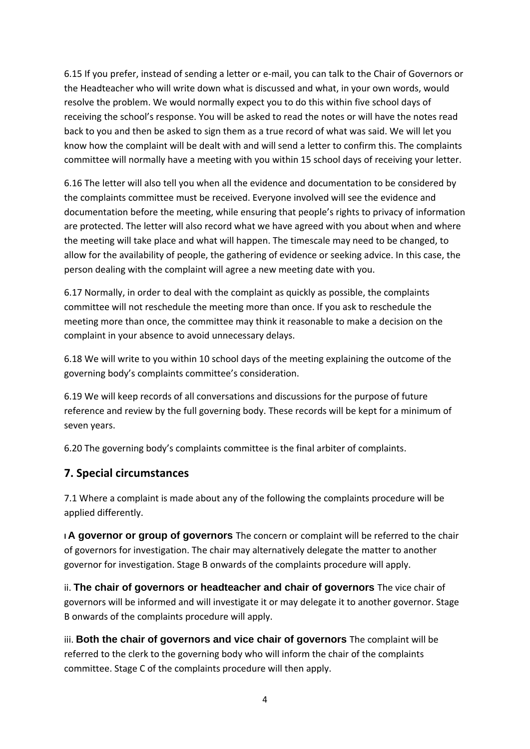6.15 If you prefer, instead of sending a letter or e-mail, you can talk to the Chair of Governors or the Headteacher who will write down what is discussed and what, in your own words, would resolve the problem. We would normally expect you to do this within five school days of receiving the school's response. You will be asked to read the notes or will have the notes read back to you and then be asked to sign them as a true record of what was said. We will let you know how the complaint will be dealt with and will send a letter to confirm this. The complaints committee will normally have a meeting with you within 15 school days of receiving your letter.

6.16 The letter will also tell you when all the evidence and documentation to be considered by the complaints committee must be received. Everyone involved will see the evidence and documentation before the meeting, while ensuring that people's rights to privacy of information are protected. The letter will also record what we have agreed with you about when and where the meeting will take place and what will happen. The timescale may need to be changed, to allow for the availability of people, the gathering of evidence or seeking advice. In this case, the person dealing with the complaint will agree a new meeting date with you.

6.17 Normally, in order to deal with the complaint as quickly as possible, the complaints committee will not reschedule the meeting more than once. If you ask to reschedule the meeting more than once, the committee may think it reasonable to make a decision on the complaint in your absence to avoid unnecessary delays.

6.18 We will write to you within 10 school days of the meeting explaining the outcome of the governing body's complaints committee's consideration.

6.19 We will keep records of all conversations and discussions for the purpose of future reference and review by the full governing body. These records will be kept for a minimum of seven years.

6.20 The governing body's complaints committee is the final arbiter of complaints.

#### **7. Special circumstances**

7.1 Where a complaint is made about any of the following the complaints procedure will be applied differently.

**I A governor or group of governors** The concern or complaint will be referred to the chair of governors for investigation. The chair may alternatively delegate the matter to another governor for investigation. Stage B onwards of the complaints procedure will apply.

ii. **The chair of governors or headteacher and chair of governors** The vice chair of governors will be informed and will investigate it or may delegate it to another governor. Stage B onwards of the complaints procedure will apply.

iii. **Both the chair of governors and vice chair of governors** The complaint will be referred to the clerk to the governing body who will inform the chair of the complaints committee. Stage C of the complaints procedure will then apply.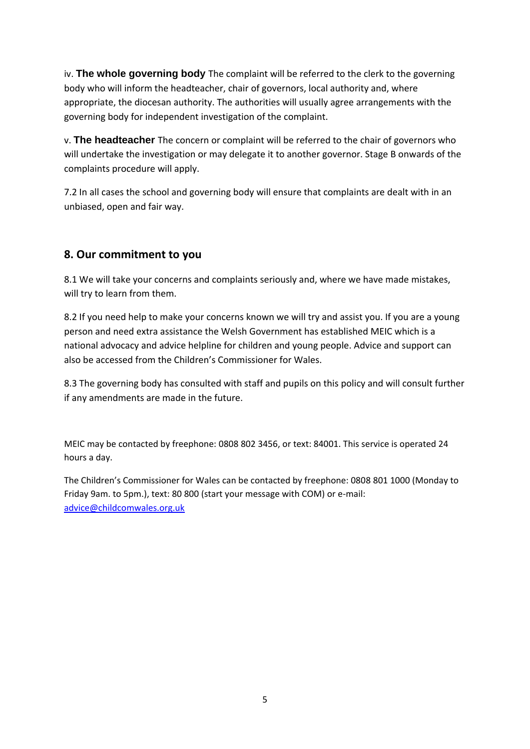iv. **The whole governing body** The complaint will be referred to the clerk to the governing body who will inform the headteacher, chair of governors, local authority and, where appropriate, the diocesan authority. The authorities will usually agree arrangements with the governing body for independent investigation of the complaint.

v. **The headteacher** The concern or complaint will be referred to the chair of governors who will undertake the investigation or may delegate it to another governor. Stage B onwards of the complaints procedure will apply.

7.2 In all cases the school and governing body will ensure that complaints are dealt with in an unbiased, open and fair way.

## **8. Our commitment to you**

8.1 We will take your concerns and complaints seriously and, where we have made mistakes, will try to learn from them.

8.2 If you need help to make your concerns known we will try and assist you. If you are a young person and need extra assistance the Welsh Government has established MEIC which is a national advocacy and advice helpline for children and young people. Advice and support can also be accessed from the Children's Commissioner for Wales.

8.3 The governing body has consulted with staff and pupils on this policy and will consult further if any amendments are made in the future.

MEIC may be contacted by freephone: 0808 802 3456, or text: 84001. This service is operated 24 hours a day.

The Children's Commissioner for Wales can be contacted by freephone: 0808 801 1000 (Monday to Friday 9am. to 5pm.), text: 80 800 (start your message with COM) or e-mail: [advice@childcomwales.org.uk](mailto:advice@childcomwales.org.uk)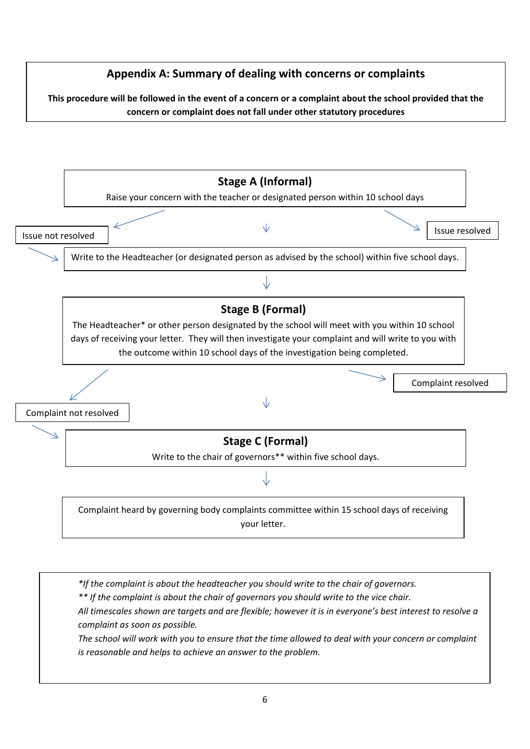

*\*If the complaint is about the headteacher you should write to the chair of governors.*

*\*\* If the complaint is about the chair of governors you should write to the vice chair.*

*All timescales shown are targets and are flexible; however it is in everyone's best interest to resolve a complaint as soon as possible.*

*The school will work with you to ensure that the time allowed to deal with your concern or complaint is reasonable and helps to achieve an answer to the problem.*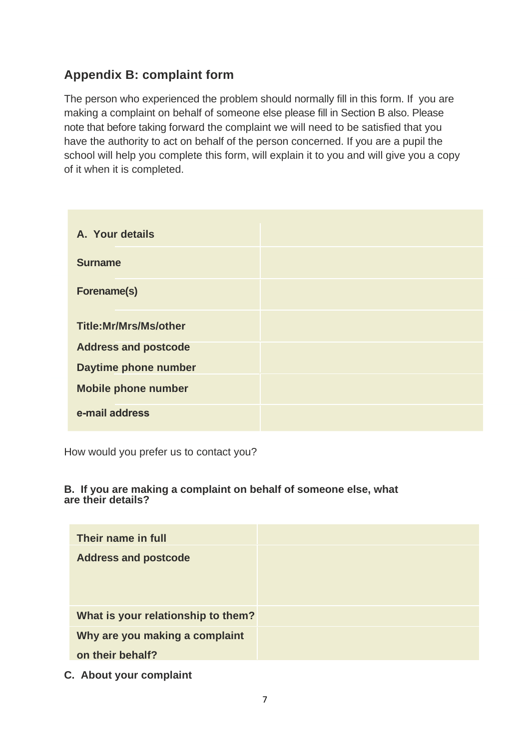## **Appendix B: complaint form**

The person who experienced the problem should normally fill in this form. If you are making a complaint on behalf of someone else please fill in Section B also. Please note that before taking forward the complaint we will need to be satisfied that you have the authority to act on behalf of the person concerned. If you are a pupil the school will help you complete this form, will explain it to you and will give you a copy of it when it is completed.

| A. Your details              |  |
|------------------------------|--|
| <b>Surname</b>               |  |
| <b>Forename(s)</b>           |  |
| <b>Title:Mr/Mrs/Ms/other</b> |  |
| <b>Address and postcode</b>  |  |
| Daytime phone number         |  |
| <b>Mobile phone number</b>   |  |
| e-mail address               |  |

How would you prefer us to contact you?

#### **B. If you are making a complaint on behalf of someone else, what are their details?**

| Their name in full                 |  |
|------------------------------------|--|
| <b>Address and postcode</b>        |  |
|                                    |  |
|                                    |  |
| What is your relationship to them? |  |
| Why are you making a complaint     |  |
| on their behalf?                   |  |

**C. About your complaint**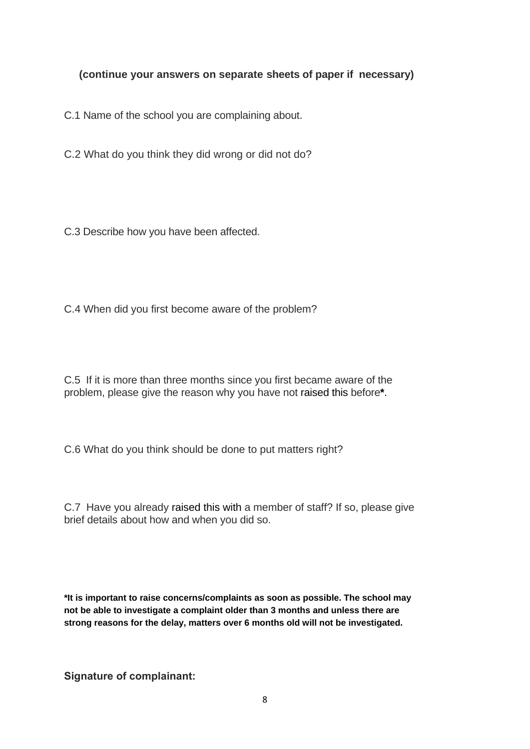#### **(continue your answers on separate sheets of paper if necessary)**

C.1 Name of the school you are complaining about.

C.2 What do you think they did wrong or did not do?

C.3 Describe how you have been affected.

C.4 When did you first become aware of the problem?

C.5 If it is more than three months since you first became aware of the problem, please give the reason why you have not raised this before**\***.

C.6 What do you think should be done to put matters right?

C.7 Have you already raised this with a member of staff? If so, please give brief details about how and when you did so.

**\*It is important to raise concerns/complaints as soon as possible. The school may not be able to investigate a complaint older than 3 months and unless there are strong reasons for the delay, matters over 6 months old will not be investigated.**

**Signature of complainant:**